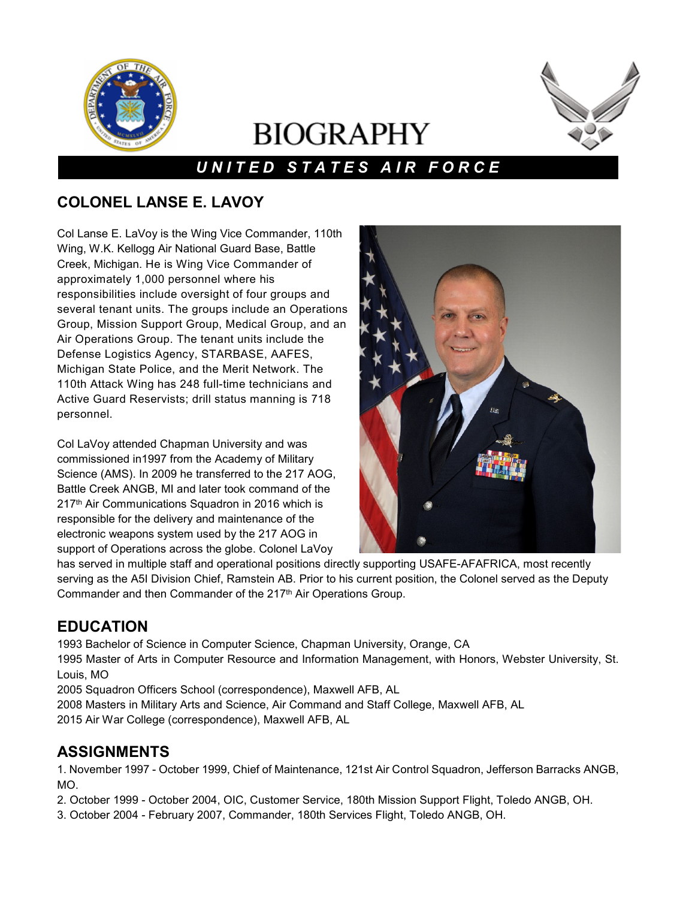

# **BIOGRAPHY**



## *U N I T E D S T A T E S A I R F O R C E*

## **COLONEL LANSE E. LAVOY**

Col Lanse E. LaVoy is the Wing Vice Commander, 110th Wing, W.K. Kellogg Air National Guard Base, Battle Creek, Michigan. He is Wing Vice Commander of approximately 1,000 personnel where his responsibilities include oversight of four groups and several tenant units. The groups include an Operations Group, Mission Support Group, Medical Group, and an Air Operations Group. The tenant units include the Defense Logistics Agency, STARBASE, AAFES, Michigan State Police, and the Merit Network. The 110th Attack Wing has 248 full-time technicians and Active Guard Reservists; drill status manning is 718 personnel.

Col LaVoy attended Chapman University and was commissioned in1997 from the Academy of Military Science (AMS). In 2009 he transferred to the 217 AOG, Battle Creek ANGB, MI and later took command of the 217<sup>th</sup> Air Communications Squadron in 2016 which is responsible for the delivery and maintenance of the electronic weapons system used by the 217 AOG in support of Operations across the globe. Colonel LaVoy



has served in multiple staff and operational positions directly supporting USAFE-AFAFRICA, most recently serving as the A5I Division Chief, Ramstein AB. Prior to his current position, the Colonel served as the Deputy Commander and then Commander of the 217<sup>th</sup> Air Operations Group.

## **EDUCATION**

1993 Bachelor of Science in Computer Science, Chapman University, Orange, CA

1995 Master of Arts in Computer Resource and Information Management, with Honors, Webster University, St. Louis, MO

2005 Squadron Officers School (correspondence), Maxwell AFB, AL

2008 Masters in Military Arts and Science, Air Command and Staff College, Maxwell AFB, AL 2015 Air War College (correspondence), Maxwell AFB, AL

#### **ASSIGNMENTS**

1. November 1997 - October 1999, Chief of Maintenance, 121st Air Control Squadron, Jefferson Barracks ANGB, MO.

2. October 1999 - October 2004, OIC, Customer Service, 180th Mission Support Flight, Toledo ANGB, OH.

3. October 2004 - February 2007, Commander, 180th Services Flight, Toledo ANGB, OH.